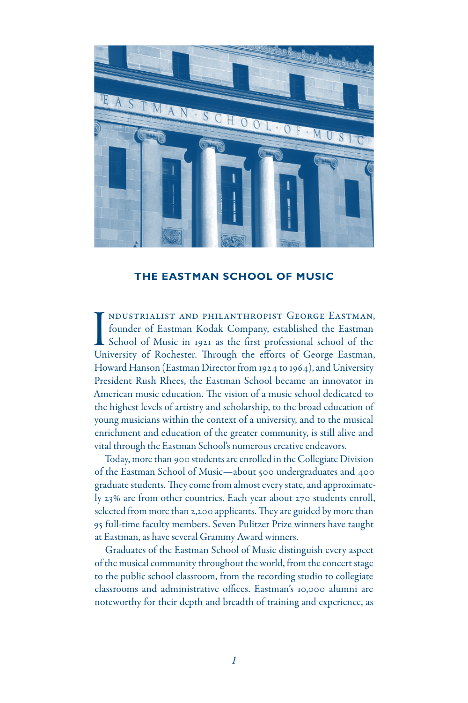

### **THE EASTMAN SCHOOL OF MUSIC**

I<br>Un ndustrialist and philanthropist George Eastman, founder of Eastman Kodak Company, established the Eastman School of Music in 1921 as the first professional school of the University of Rochester. Through the efforts of George Eastman, Howard Hanson (Eastman Director from 1924 to 1964), and University President Rush Rhees, the Eastman School became an innovator in American music education. The vision of a music school dedicated to the highest levels of artistry and scholarship, to the broad education of young musicians within the context of a university, and to the musical enrichment and education of the greater community, is still alive and vital through the Eastman School's numerous creative endeavors.

Today, more than 900 students are enrolled in the Collegiate Division of the Eastman School of Music—about 500 undergraduates and 400 graduate students. They come from almost every state, and approximately 23% are from other countries. Each year about 270 students enroll, selected from more than 2,200 applicants. They are guided by more than 95 full-time faculty members. Seven Pulitzer Prize winners have taught at Eastman, as have several Grammy Award winners.

Graduates of the Eastman School of Music distinguish every aspect of the musical community throughout the world, from the concert stage to the public school classroom, from the recording studio to collegiate classrooms and administrative offices. Eastman's 10,000 alumni are noteworthy for their depth and breadth of training and experience, as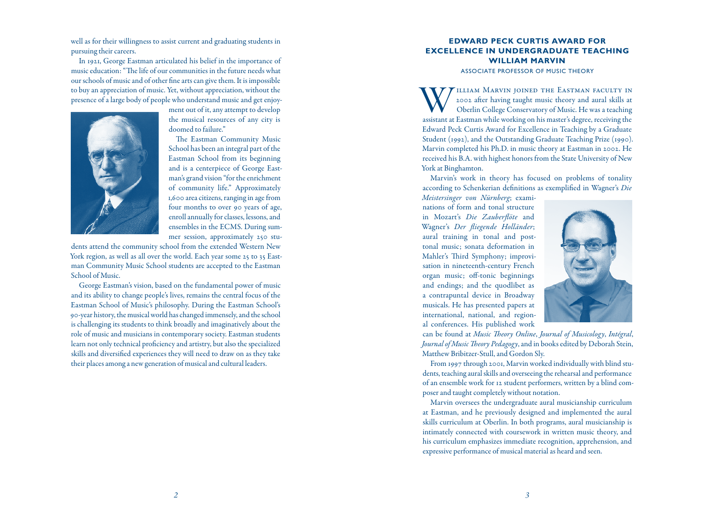well as for their willingness to assist current and graduating students in pursuing their careers.

In 1921, George Eastman articulated his belief in the importance of music education: "The life of our communities in the future needs what our schools of music and of other fine arts can give them. It is impossible to buy an appreciation of music. Yet, without appreciation, without the presence of a large body of people who understand music and get enjoy -



ment out of it, any attempt to develop the musical resources of any city is doomed to failure."

The Eastman Community Music School has been an integral part of the Eastman School from its beginning and is a centerpiece of George East man's grand vision "for the enrichment of community life." Approximately 1,600 area citizens, ranging in age from four months to over 90 years of age, enroll annually for classes, lessons, and ensembles in the ECMS. During sum mer session, approximately 250 stu -

dents attend the community school from the extended Western New York region, as well as all over the world. Each year some 25 to 35 East man Community Music School students are accepted to the Eastman School of Music.

George Eastman's vision, based on the fundamental power of music and its ability to change people's lives, remains the central focus of the Eastman School of Music's philosophy. During the Eastman School's 90-year history, the musical world has changed immensely, and the school is challenging its students to think broadly and imaginatively about the role of music and musicians in contemporary society. Eastman students learn not only technical proficiency and artistry, but also the specialized skills and diversified experiences they will need to draw on as they take their places among a new generation of musical and cultural leaders.

### **EDWARD PECK CURTIS AWARD FOR u EXCELLENCE IN UNDERGRADUATE TEACHING n a** WILLIAM MARV

Associ ate Professor of Music Theory

WILLIAM MARVIN JOINED THE EASTMAN FACULTY IN 2002 after having taught music theory and aural skills at Oberlin College Conservatory of Music. He was a teaching assistant at Eastman while working on his master's degree, rec 2002 after having taught music theory and aural skills at Oberlin College Conservatory of Music. He was a teaching assistant at Eastman while working on his master's degree, receiving the Edward Peck Curtis Award for Excellence in Teaching by a Graduate Student (1992), and the Outstanding Graduate Teaching Prize (1990). Marvin completed his Ph.D. in music theory at Eastman in 2002. He received his B.A. with highest honors from the State University of New York at Binghamton.

Marvin's work in theory has focused on problems of tonality according to Schenkerian definitions as exemplified in Wagner's *Die* 

*Meistersinger von Nürnberg*; exami nations of form and tonal structure in Mozart's *Die Zauberflöte* and Wagner's *Der fliegende Holländer*; aural training in tonal and posttonal music; sonata deformation in Mahler's Third Symphony; improvi sation in nineteenth-century French organ music; off-tonic beginnings and endings; and the quodlibet as a contrapuntal device in Broadway musicals. He has presented papers at international, national, and region al conferences. His published work



can be found at *Music Theory Online*, *Journal of Musicology*, *Intégral*, *Journal of Music Theory Pedagogy*, and in books edited by Deborah Stein, Matthew Bribitzer-Stull, and Gordon Sly.

From 1997 through 2001, Marvin worked individually with blind stu dents, teaching aural skills and overseeing the rehearsal and performance of an ensemble work for 12 student performers, written by a blind com poser and taught completely without notation.

Marvin oversees the undergraduate aural musicianship curriculum at Eastman, and he previously designed and implemented the aural skills curriculum at Oberlin. In both programs, aural musicianship is intimately connected with coursework in written music theory, and his curriculum emphasizes immediate recognition, apprehension, and expressive performance of musical material as heard and seen.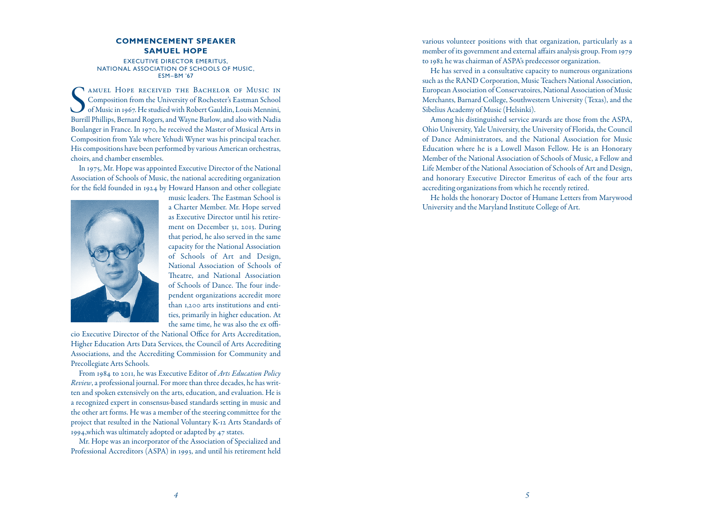### **Commencement Spea k r e Samuel Hope**

Executive Director Emeritus, N ational Associ atio n of Schools of Music, ESM–BM '67

SMUEL HOPE RECEIVED THE BACHELOR OF MUSIC IN Composition from the University of Rochester's Eastman School of Music in 1967. He studied with Robert Gauldin, Louis Mennini, Burrill Phillips, Bernard Rogers, and Wayne Barlow amuel Hope received the Bachelor of Music in Composition from the University of Rochester's Eastman School of Music in 1967. He studied with Robert Gauldin, Louis Mennini, Boulanger in France. In 1970, he received the Master of Musical Arts in Composition from Yale where Yehudi Wyner was his principal teacher. His compositions have been performed by various American orchestras, choirs, and chamber ensembles.

In 1975, Mr. Hope was appointed Executive Director of the National Association of Schools of Music, the national accrediting organization for the field founded in 1924 by Howard Hanson and other collegiate



music leaders. The Eastman School is a Charter Member. Mr. Hope served as Executive Director until his retire ment on December 31, 2013. During that period, he also served in the same capacity for the National Association of Schools of Art and Design, National Association of Schools of Theatre, and National Association of Schools of Dance. The four inde pendent organizations accredit more than 1,200 arts institutions and enti ties, primarily in higher education. At the same time, he was also the ex offi -

cio Executive Director of the National Office for Arts Accreditation, Higher Education Arts Data Services, the Council of Arts Accrediting Associations, and the Accrediting Commission for Community and Precollegiate Arts Schools.

From 1984 to 2011, he was Executive Editor of *Arts Education Policy Review*, a professional journal. For more than three decades, he has writ ten and spoken extensively on the arts, education, and evaluation. He is a recognized expert in consensus-based standards setting in music and the other art forms. He was a member of the steering committee for the project that resulted in the National Voluntary K-12 Arts Standards of 1994,which was ultimately adopted or adapted by 47 states.

Mr. Hope was an incorporator of the Association of Specialized and Professional Accreditors (ASPA) in 1993, and until his retirement held various volunteer positions with that organization, particularly as a member of its government and external affairs analysis group. From 1979 to 1982 he was chairman of ASPA's predecessor organization.

He has served in a consultative capacity to numerous organizations such as the RAND Corporation, Music Teachers National Association, European Association of Conservatoires, National Association of Music Merchants, Barnard College, Southwestern University (Texas), and the Sibelius Academy of Music (Helsinki).

Among his distinguished service awards are those from the ASPA, Ohio University, Yale University, the University of Florida, the Council of Dance Administrators, and the National Association for Music Education where he is a Lowell Mason Fellow. He is an Honorary Member of the National Association of Schools of Music, a Fellow and Life Member of the National Association of Schools of Art and Design, and honorary Executive Director Emeritus of each of the four arts accrediting organizations from which he recently retired.

He holds the honorary Doctor of Humane Letters from Marywood University and the Maryland Institute College of Art.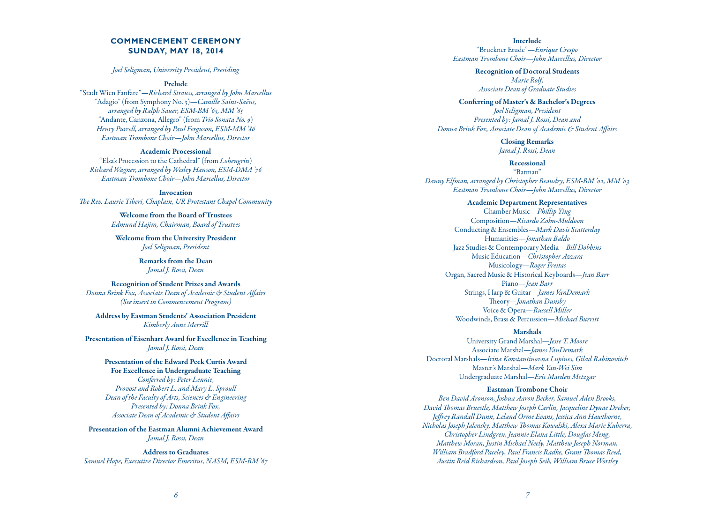# **COMMENCEMENT CE REMONY SUN DAY, MAY 18, 2014**

### *Joel Seligman, University President, Presiding*

### Prelude

"Stadt Wien Fanfare"—*Richard Strauss, arranged by John Marcellus* "Adagio" (from Symphony No. 3)—*Camille Saint-Saëns, arranged by Ralph Sauer, ESM-BM '65, MM '65* "Andante, Canzona, Allegro" (from *Trio Sonata No. 9* ) *Henry Purcell, arranged by Paul Ferguson, ESM-MM '86 Eastman Trombone Choir—John Marcellus, Director*

Academic Processional "Elsa's Procession to the Cathedral" (from *Lohengrin* ) *Richard Wagner, arranged by Wesley Hanson, ESM-DMA '76 Eastman Trombone Choir—John Marcellus, Director*

Invocation *The Rev. Laurie Tiberi, Chaplain, UR Protestant Chapel Community*

> Welcome from the Board of Trustees *Edmund Hajim, Chairman, Board of Trustees*

Welcome from the University President *Joel Seligman, President*

> Remarks from the Dean *Jamal J. Rossi, Dean*

Recognition of Student Prizes and Awards *Donna Brink Fox, Associate Dean of Academic & Student Affairs*

*(See insert in Commencement Program)* Address by Eastman Students' Association President

*Kimberly Anne Merrill*

Presentation of Eisenhart Award for Excellence in Teaching *Jamal J. Rossi, Dean*

> Presentation of the Edward Peck Curtis Award For Excellence in Undergraduate Teaching *Conferred by: Peter Lennie, Provost and Robert L. and Mary L. Sproull Dean of the Faculty of Arts, Sciences & Engineering Presented by: Donna Brink Fox, Associate Dean of Academic & Student Affairs*

Presentation of the Eastman Alumni Achievement Award *Jamal J. Rossi, Dean*

Address to Graduates *Samuel Hope, Executive Director Emeritus, NASM, ESM-BM '67*

Interlude "Bruckner Etude"—*Enrique Crespo Eastman Trombone Choir—John Marcellus, Director*

> Recognition of Doctoral Students *Marie Rolf, Associate Dean of Graduate Studies*

Conferring of Master's & Bachelor's Degrees

*Joel Seligman, President Presented by: Jamal J. Rossi, Dean and Donna Brink Fox, Associate Dean of Academic & Student Affairs*

> Closing Remarks *Jamal J. Rossi, Dean*

> > Recessional

"Batman" *Danny Elfman, arranged by Christopher Beaudry, ESM-BM '02, MM '03 Eastman Trombone Choir—John Marcellus, Director*

> Academic Department Representatives Chamber Music—*Phillip Ying* Composition—*Ricardo Zohn-Muldoon* Conducting & Ensembles—*Mark Davis Scatterday* Humanities—*Jonathan Baldo* Jazz Studies & Contemporary Media—*Bill Dobbins* Music Education—*Christopher Azzara* Musicology—*Roger Freitas* Organ, Sacred Music & Historical Keyboards—*Jean Barr* Piano—*Jean Barr* Strings, Harp & Guitar—*James VanDemark* Theory—*Jonathan Dunsby* Voice & Opera—*Russell Miller* Woodwinds, Brass & Percussion—*Michael Burritt*

### Marshals

University Grand Marshal—*Jesse T. Moore* Associate Marshal—*James VanDemark* Doctoral Marshals—*Irina Konstantinovna Lupines, Gilad Rabinovitch* Master's Marshal—*Mark Yan-Wei Sim* Undergraduate Marshal—*Eric Marden Metzgar*

### Eastman Trombone Choir

*Ben David Aronson, Joshua Aaron Becker, Samuel Aden Brooks, David Thomas Bruestle, Matthew Joseph Carlin, Jacqueline Dynae Dreher, Jeffrey Randall Dunn, Leland Orme Evans, Jessica Ann Hawthorne, Nicholas Joseph Jalensky, Matthew Thomas Kowalski, Alexa Marie Kuberra, Christopher Lindgren, Jeannie Elana Little, Douglas Meng, Matthew Moran, Justin Michael Neely, Matthew Joseph Norman, William Bradford Paceley, Paul Francis Radke, Grant Thomas Reed, Austin Reid Richardson, Paul Joseph Seib, William Bruce Wortley*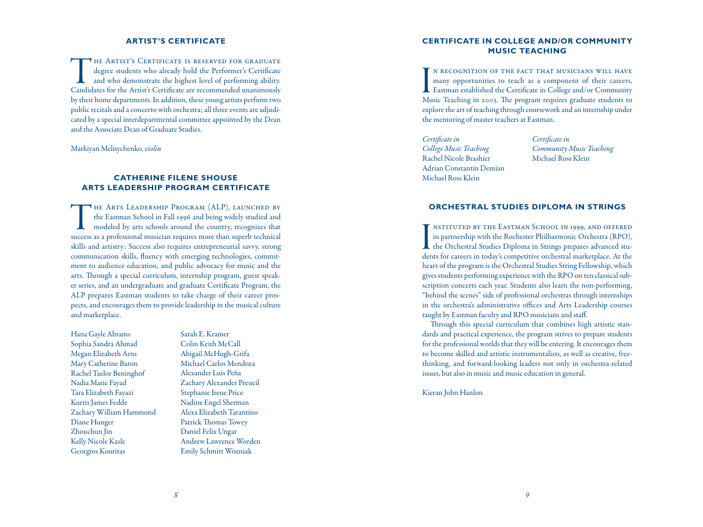## **Artist's Certificate**

THE ARTIST'S CERTIFICATE IS RESERVED FOR GRADUATE<br>degree students who already hold the Performer's Certificate<br>and who demonstrate the highest level of performing ability.<br>Candidates for the Artist's Certificate are recomm degree students who already hold the Performer's Certificate and who demonstrate the highest level of performing ability. Candidates for the Artist's Certificate are recommended unanimously by their home departments. In addition, these young artists perform two public recitals and a concerto with orchestra; all three events are adjudicated by a special interdepartmental committee appointed by the Dean and the Associate Dean of Graduate Studies.

Markiyan Melnychenko, *violin*

# **Catherine Filene Shouse Arts Leadership Program Certificate**

The Arts Leadership Program (ALP), launched by the Eastman School in Fall 1996 and being widely studied and modeled by arts schools around the country, recognizes that success as a professional musician requires more than superb technical skills and artistry: Success also requires entrepreneurial savvy, strong communication skills, fluency with emerging technologies, commitment to audience education, and public advocacy for music and the arts. Through a special curriculum, internship program, guest speaker series, and an undergraduate and graduate Certificate Program, the ALP prepares Eastman students to take charge of their career prospects, and encourages them to provide leadership in the musical culture and marketplace.

Hana Gayle Abrams Sophia Sandra Ahmad Megan Elizabeth Arns Mary Catherine Baron Rachel Taelor Beninghof Nadia Marie Fayad Tara Elizabeth Fayazi Kurtis James Fedde Zachary William Hammond Diane Hunger Zhouchun Jin Kelly Nicole Kasle Georgios Kouritas

Sarah E. Kramer Colin Keith McCall Abigail McHugh-Grifa Michael Carlos Mendoza Alexander Luis Peña Zachary Alexander Preucil Stephanie Irene Price Nadine Engel Sherman Alexa Elizabeth Tarantino Patrick Thomas Towey Daniel Felix Ungar Andrew Lawrence Worden Emily Schmitt Wozniak

# **Certificate in College and/or Community Music Teaching**

I<br>Mu n recognition of the fact that musicians will have many opportunities to teach as a component of their careers, Eastman established the Certificate in College and/or Community Music Teaching in 2003. The program requires graduate students to explore the art of teaching through coursework and an internship under the mentoring of master teachers at Eastman.

*Certificate in College Music Teaching* Rachel Nicole Brashier Adrian Constantin Demian Michael Ross Klein

*Certificate in Community Music Teaching* Michael Ross Klein

## **Orchestral Studies Diploma in Strings**

I<br>der nstituted by the Eastman School in 1999, and offered in partnership with the Rochester Philharmonic Orchestra (RPO), the Orchestral Studies Diploma in Strings prepares advanced students for careers in today's competitive orchestral marketplace. At the heart of the program is the Orchestral Studies String Fellowship, which gives students performing experience with the RPO on ten classical subscription concerts each year. Students also learn the non-performing, "behind the scenes" side of professional orchestras through internships in the orchestra's administrative offices and Arts Leadership courses taught by Eastman faculty and RPO musicians and staff.

Through this special curriculum that combines high artistic standards and practical experience, the program strives to prepare students for the professional worlds that they will be entering. It encourages them to become skilled and artistic instrumentalists, as well as creative, freethinking, and forward-looking leaders not only in orchestra-related issues, but also in music and music education in general.

Kieran John Hanlon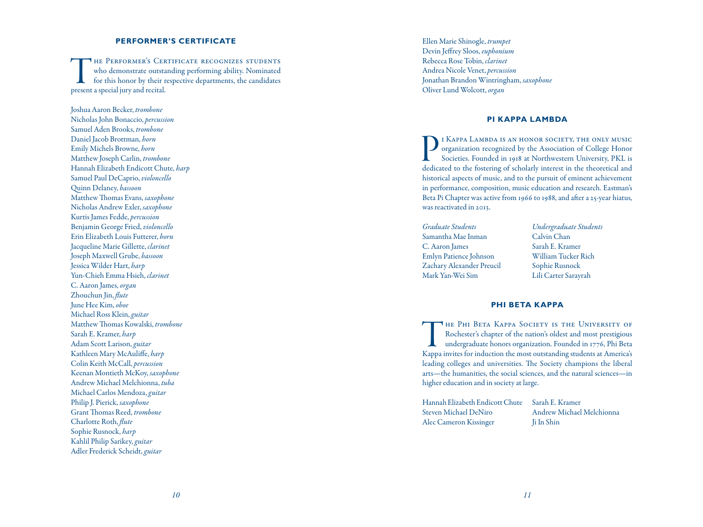#### **PERFORMER'S CER e e**

THE PERFORMER'S CERTIFICATE RECOGNIZES STUDENTS<br>who demonstrate outstanding performing ability. Nominated<br>for this honor by their respective departments, the candidates<br>present a special jury and recital. who demonstrate outstanding performing ability. Nominated for this honor by their respective departments, the candidates present a special jury and recital.

Joshua Aaron Becker, *trombone* Nicholas John Bonaccio, *percussion* Samuel Aden Brooks, *trombone* Daniel Jacob Brottman, *horn* Emily Michels Browne, *horn* Matthew Joseph Carlin, *trombone* Hannah Elizabeth Endicott Chute, *harp* Samuel Paul DeCaprio, *violoncello* Quinn Delaney, *bassoon* Matthew Thomas Evans, *saxophone* Nicholas Andrew Exler, *saxophone* Kurtis James Fedde, *percussion* Benjamin George Fried, *violoncello* Erin Elizabeth Louis Futterer, *horn* Jacqueline Marie Gillette, *clarinet* Joseph Maxwell Grube, *bassoon* Jessica Wilder Hart, *harp* Yun-Chieh Emma Hsieh, *clarinet* C. Aaron James, *organ* Zhouchun Jin, *flute* June Hee Kim, *oboe* Michael Ross Klein, *guitar* Matthew Thomas Kowalski, *trombone* Sarah E. Kramer, *harp* Adam Scott Larison, *guitar* Kathleen Mary McAuliffe, *harp* Colin Keith McCall, *percussion* Keenan Montieth McKoy, *saxophone* Andrew Michael Melchionna, *tuba* Michael Carlos Mendoza, *guitar* Philip J. Pierick, *saxophone* Grant Thomas Reed, *trombone* Charlotte Roth, *flute* Sophie Rusnock, *harp* Kahlil Philip Sarikey, *guitar* Adler Frederick Scheidt, *guitar*

Ellen Marie Shinogle, *trumpet* Devin Jeffrey Sloos, *euphonium* Rebecca Rose Tobin, *clarinet* Andrea Nicole Venet, *percussion* Jonathan Brandon Wintringham, *saxophone* Oliver Lund Wolcott, *organ*

### **Pi Kappa Lambd a**

I KAPPA LAMBDA IS AN HONOR SOCIETY, THE ONLY MUSIC<br>organization recognized by the Association of College Honor<br>Societies. Founded in 1918 at Northwestern University, PKL is<br>dedicated to the fostering of scholarly interest organization recognized by the Association of College Honor Societies. Founded in 1918 at Northwestern University, PKL is dedicated to the fostering of scholarly interest in the theoretical and historical aspects of music, and to the pursuit of eminent achievement in performance, composition, music education and research. Eastman's Beta Pi Chapter was active from 1966 to 1988, and after a 25-year hiatus, was reactivated in 2013.

*Graduate Students* Samantha Mae Inman C. Aaron James Emlyn Patience Johnson Zachary Alexander Preucil Mark Yan-Wei Sim

*Undergraduate Students* Calvin Chan Sarah E. Kramer William Tucker Rich Sophie Rusnock Lili Carter Sarayrah

# **Phi Beta Kappa**

THE PHI BETA KAPPA SOCIETY IS THE UNIVERSITY OF<br>Rochester's chapter of the nation's oldest and most prestigious<br>undergraduate honors organization. Founded in 1776, Phi Beta<br>Kappa invites for induction the most outstanding Rochester's chapter of the nation's oldest and most prestigious undergraduate honors organization. Founded in 1776, Phi Beta Kappa invites for induction the most outstanding students at America's leading colleges and universities. The Society champions the liberal arts—the humanities, the social sciences, and the natural sciences—in higher education and in society at large.

Hannah Elizabeth Endicott Chute Steven Michael DeNiro Alec Cameron Kissinger

Sarah E. Kramer Andrew Michael Melchionna Ji In Shin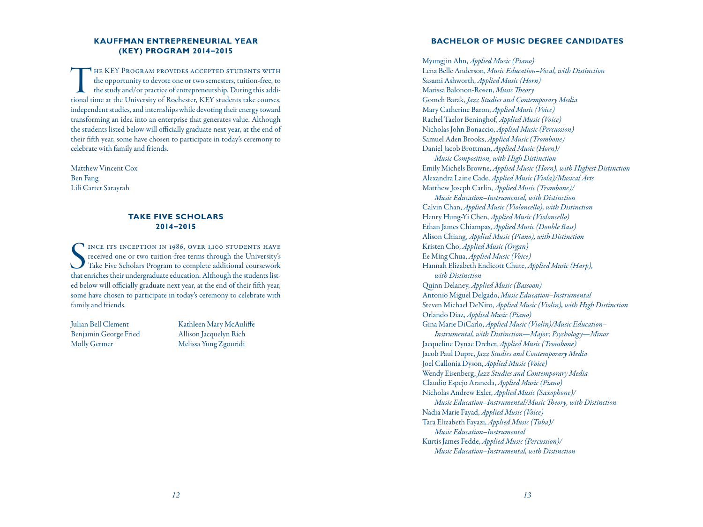# **Kauffman Ent rep reneu rial Year ( KEY) Pr ogram 2014 –2015**

THE KEY PROGRAM PROVIDES ACCEPTED STUDENTS WITH<br>the opportunity to devote one or two semesters, tuition-free, to<br>the study and/or practice of entrepreneurship. During this addi-<br>tional time at the University of Rochester, the opportunity to devote one or two semesters, tuition-free, to the study and/or practice of entrepreneurship. During this addi tional time at the University of Rochester, KEY students take courses, independent studies, and internships while devoting their energy toward transforming an idea into an enterprise that generates value. Although the students listed below will officially graduate next year, at the end of their fifth year, some have chosen to participate in today's ceremony to celebrate with family and friends.

Matthew Vincent Cox Ben Fang Lili Carter Sarayrah

#### **TAKE FIVE SCHOLAR a i s 2014 –2015**

SER INCE ITS INCEPTION IN 1986, OVER 1,100 STUDENTS HAVE<br>
received one or two tuition-free terms through the University's<br>
Take Five Scholars Program to complete additional coursework<br>
that enriches their undergraduate edu INCE ITS INCEPTION IN 1986, OVER 1,100 STUDENTS HAVE received one or two tuition-free terms through the University's Take Five Scholars Program to complete additional coursework ed below will officially graduate next year, at the end of their fifth year, some have chosen to participate in today's ceremony to celebrate with family and friends.

Julian Bell Clement Benjamin George Fried Molly Germer

Kathleen Mary McAuliffe Allison Jacquelyn Rich Melissa Yung Zgouridi

# **BACHELOR OF MUSIC DEGREE CANDIDATES**

Myungjin Ahn, *Applied Music (Piano)* Lena Belle Anderson, *Music Education–Vocal, with Distinction* Sasami Ashworth, *Applied Music (Horn)* Marissa Balonon-Rosen, *Music Theory* Gomeh Barak, *Jazz Studies and Contemporary Media* Mary Catherine Baron, *Applied Music (Voice)* Rachel Taelor Beninghof, *Applied Music (Voice)* Nicholas John Bonaccio, *Applied Music (Percussion)* Samuel Aden Brooks, *Applied Music (Trombone)* Daniel Jacob Brottman, *Applied Music (Horn)/*

*Music Composition, with High Distinction* Emily Michels Browne, *Applied Music (Horn), with Highest Distinction* Alexandra Laine Cade, *Applied Music (Viola)/Musical Arts* Matthew Joseph Carlin, *Applied Music (Trombone)/*

*Music Education–Instrumental, with Distinction* Calvin Chan, *Applied Music (Violoncello), with Distinction* Henry Hung-Yi Chen, *Applied Music (Violoncello)* Ethan James Chiampas, *Applied Music (Double Bass)* Alison Chiang, *Applied Music (Piano), with Distinction* Kristen Cho, *Applied Music (Organ)* Ee Ming Chua, *Applied Music (Voice)* Hannah Elizabeth Endicott Chute, *Applied Music (Harp), with Distinction* Quinn Delaney, *Applied Music (Bassoon)* Antonio Miguel Delgado, *Music Education–Instrumental* Steven Michael DeNiro, *Applied Music (Violin), with High Distinction* Orlando Diaz, *Applied Music (Piano)* Gina Marie DiCarlo, *Applied Music (Violin)/Music Education– Instrumental, with Distinction—Major; Psychology—Minor* Jacqueline Dynae Dreher, *Applied Music (Trombone)* Jacob Paul Dupre, *Jazz Studies and Contemporary Media* Joel Callonia Dyson, *Applied Music (Voice)* Wendy Eisenberg, *Jazz Studies and Contemporary Media* Claudio Espejo Araneda, *Applied Music (Piano)* Nicholas Andrew Exler, *Applied Music (Saxophone)/ Music Education–Instrumental/Music Theory, with Distinction* Nadia Marie Fayad, *Applied Music (Voice)* Tara Elizabeth Fayazi, *Applied Music (Tuba)/ Music Education –Instrumental* Kurtis James Fedde, *Applied Music (Percussion)/ Music Education –Instrumental, with Distinction*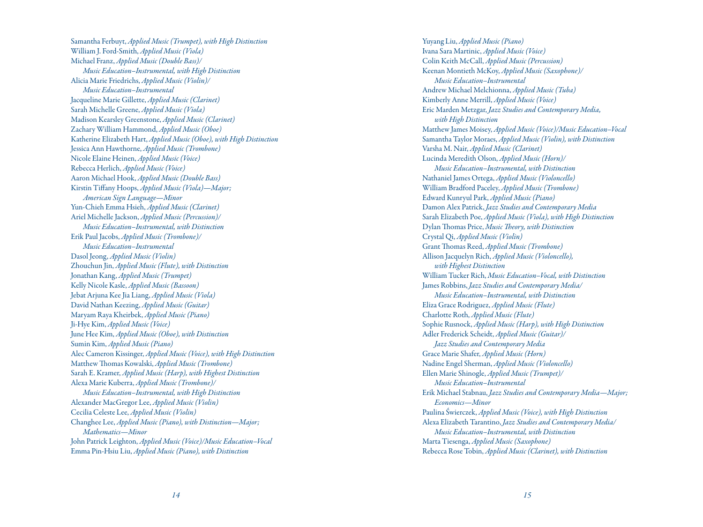Samantha Ferbuyt, *Applied Music (Trumpet), with High Distinction* William J. Ford-Smith, *Applied Music (Viola)* Michael Franz, *Applied Music (Double Bass)/ Music Education –Instrumental, with High Distinction* Alicia Marie Friedrichs, *Applied Music (Violin)/ Music Education –Instrumental* Jacqueline Marie Gillette, *Applied Music (Clarinet)* Sarah Michelle Greene, *Applied Music (Viola)* Madison Kearsley Greenstone, *Applied Music (Clarinet)* Zachary William Hammond, *Applied Music (Oboe)* Katherine Elizabeth Hart, *Applied Music (Oboe), with High Distinction* Jessica Ann Hawthorne, *Applied Music (Trombone)* Nicole Elaine Heinen, *Applied Music (Voice)* Rebecca Herlich, *Applied Music (Voice)* Aaron Michael Hook, *Applied Music (Double Bass)* Kirstin Tiffany Hoops, *Applied Music (Viola)—Major; American Sign Language—Minor* Yun-Chieh Emma Hsieh, *Applied Music (Clarinet)* Ariel Michelle Jackson, *Applied Music (Percussion)/ Music Education –Instrumental, with Distinction* Erik Paul Jacobs, *Applied Music (Trombone)/ Music Education –Instrumental* Dasol Jeong, *Applied Music (Violin)* Zhouchun Jin, *Applied Music (Flute), with Distinction* Jonathan Kang, *Applied Music (Trumpet)* Kelly Nicole Kasle, *Applied Music (Bassoon)* Jebat Arjuna Kee Jia Liang, *Applied Music (Viola)* David Nathan Keezing, *Applied Music (Guitar)* Maryam Raya Kheirbek, *Applied Music (Piano)* Ji-Hye Kim, *Applied Music (Voice)* June Hee Kim, *Applied Music (Oboe), with Distinction* Sumin Kim, *Applied Music (Piano)* Alec Cameron Kissinger, *Applied Music (Voice), with High Distinction* Matthew Thomas Kowalski, *Applied Music (Trombone)* Sarah E. Kramer, *Applied Music (Harp), with Highest Distinction* Alexa Marie Kuberra, *Applied Music (Trombone)/ Music Education –Instrumental, with High Distinction* Alexander MacGregor Lee, *Applied Music (Violin)* Cecilia Celeste Lee, *Applied Music (Violin)* Changhee Lee, *Applied Music (Piano), with Distinction—Major; Mathematics—Minor* John Patrick Leighton, *Applied Music (Voice)/Music Education –Vocal* Emma Pin-Hsiu Liu, *Applied Music (Piano), with Distinction*

Yuyang Liu, *Applied Music (Piano)* Ivana Sara Martinic, *Applied Music (Voice)* Colin Keith McCall, *Applied Music (Percussion)* Keenan Montieth McKoy, *Applied Music (Saxophone)/ Music Education –Instrumental* Andrew Michael Melchionna, *Applied Music (Tuba)* Kimberly Anne Merrill, *Applied Music (Voice)* Eric Marden Metzgar, *Jazz Studies and Contemporary Media, with High Distinction* Matthew James Moisey, *Applied Music (Voice)/Music Education –Vocal* Samantha Taylor Moraes, *Applied Music (Violin), with Distinction* Varsha M. Nair, *Applied Music (Clarinet)* Lucinda Meredith Olson, *Applied Music (Horn)/ Music Education –Instrumental, with Distinction* Nathaniel James Ortega, *Applied Music (Violoncello)* William Bradford Paceley, *Applied Music (Trombone)* Edward Kunryul Park, *Applied Music (Piano)* Damon Alex Patrick, *Jazz Studies and Contemporary Media* Sarah Elizabeth Poe, *Applied Music (Viola), with High Distinction* Dylan Thomas Price, *Music Theory, with Distinction* Crystal Qi, *Applied Music (Violin)* Grant Thomas Reed, *Applied Music (Trombone)* Allison Jacquelyn Rich, *Applied Music (Violoncello), with Highest Distinction* William Tucker Rich, *Music Education –Vocal, with Distinction* James Robbins, *Jazz Studies and Contemporary Media/ Music Education –Instrumental, with Distinction* Eliza Grace Rodriguez, *Applied Music (Flute)* Charlotte Roth, *Applied Music (Flute)* Sophie Rusnock, *Applied Music (Harp), with High Distinction* Adler Frederick Scheidt, *Applied Music (Guitar)/ Jazz Studies and Contemporary Media* Grace Marie Shafer, *Applied Music (Horn)* Nadine Engel Sherman, *Applied Music (Violoncello)* Ellen Marie Shinogle, *Applied Music (Trumpet)/ Music Education –Instrumental* Erik Michael Stabnau, *Jazz Studies and Contemporary Media—Major; Economics—Minor* Paulina Świerczek, *Applied Music (Voice), with High Distinction* Alexa Elizabeth Tarantino, *Jazz Studies and Contemporary Media/ Music Education –Instrumental, with Distinction* Marta Tiesenga, *Applied Music (Saxophone)* Rebecca Rose Tobin, *Applied Music (Clarinet), with Distinction*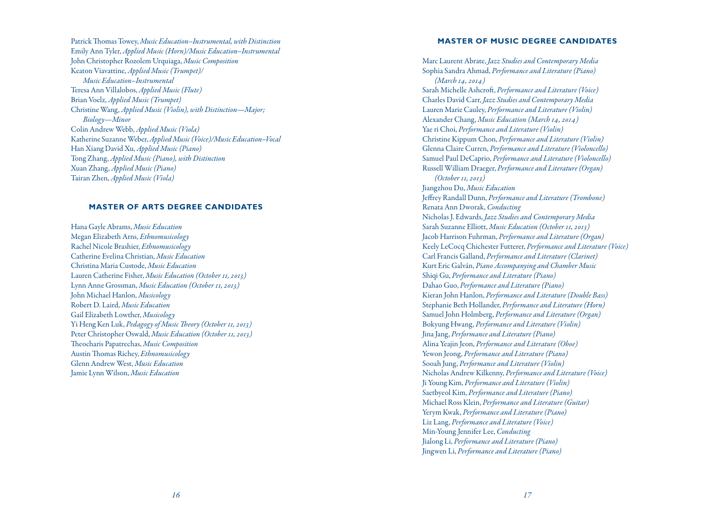Patrick Thomas Towey, *Music Education –Instrumental, with Distinction* Emily Ann Tyler, *Applied Music (Horn)/Music Education –Instrumental* John Christopher Rozolem Urquiaga, *Music Composition* Keaton Viavattine, *Applied Music (Trumpet)/ Music Education –Instrumental* Teresa Ann Villalobos, *Applied Music (Flute)* Brian Voelz, *Applied Music (Trumpet)* Christine Wang, *Applied Music (Violin), with Distinction—Major; Biology—Minor* Colin Andrew Webb, *Applied Music (Viola)* Katherine Suzanne Weber,*AppliedMusic(Voice)/MusicEducation –Vocal* Han Xiang David Xu, *Applied Music (Piano)* Tong Zhang, *Applied Music (Piano), with Distinction* Xuan Zhang, *Applied Music (Piano)* Tairan Zhen, *Applied Music (Viola)*

### **MASTER OF ARTS DEGREE CANDIDATES**

Hana Gayle Abrams, *Music Education* Megan Elizabeth Arns, *Ethnomusicology* Rachel Nicole Brashier, *Ethnomusicology* Catherine Evelina Christian, *Music Education* Christina Maria Custode, *Music Education* Lauren Catherine Fisher, *Music Education (October 11, 2013)* Lynn Anne Grossman, *Music Education (October 11, 2013)* John Michael Hanlon, *Musicology* Robert D. Laird, *Music Education* Gail Elizabeth Lowther, *Musicology* Yi Heng Ken Luk, *Pedagogy of Music Theory (October 11, 2013)* Peter Christopher Oswald, *Music Education (October 11, 2013)* Theocharis Papatrechas, *Music Composition* Austin Thomas Richey, *Ethnomusicology* Glenn Andrew West, *Music Education* Jamie Lynn Wilson, *Music Education*

### **MASTER OF MUSIC DEGREE CANDIDATES**

Marc Laurent Abrate, *Jazz Studies and Contemporary Media* Sophia Sandra Ahmad, *Performance and Literature (Piano) (March 14, 2014)* Sarah Michelle Ashcroft, *Performance and Literature (Voice)* Charles David Carr, *Jazz Studies and Contemporary Media* Lauren Marie Cauley, *Performance and Literature (Violin)* Alexander Chang, *Music Education (March 14, 2014)* Yae ri Choi, *Performance and Literature (Violin)* Christine Kippum Chon, *Performance and Literature (Violin)* Glenna Claire Curren, *Performance and Literature (Violoncello)* Samuel Paul DeCaprio, *Performance and Literature (Violoncello)* Russell William Draeger, *Performance and Literature (Organ) (October 11, 2013)* Jiangzhou Du, *Music Education* Jeffrey Randall Dunn, *Performance and Literature (Trombone)* Renata Ann Dworak, *Conducting* Nicholas J. Edwards, *Jazz Studies and Contemporary Media* Sarah Suzanne Elliott, *Music Education (October 11, 2013)* Jacob Harrison Fuhrman, *Performance and Literature (Organ)* Keely LeCocq Chichester Futterer, *Performance and Literature (Voice)* Carl Francis Galland, *Performance and Literature (Clarinet)* Kurt Eric Galván, *Piano Accompanying and Chamber Music* Shiqi Gu, *Performance and Literature (Piano)* Dahao Guo, *Performance and Literature (Piano)* Kieran John Hanlon, *Performance and Literature (Double Bass)* Stephanie Beth Hollander, *Performance and Literature (Horn)* Samuel John Holmberg, *Performance and Literature (Organ)* Bokyung Hwang, *Performance and Literature (Violin)* Jina Jang, *Performance and Literature (Piano)* Alina Yeajin Jeon, *Performance and Literature (Oboe)* Yewon Jeong, *Performance and Literature (Piano)* Sooah Jung, *Performance and Literature (Violin)* Nicholas Andrew Kilkenny, *Performance and Literature (Voice)* Ji Young Kim, *Performance and Literature (Violin)* Saetbyeol Kim, *Performance and Literature (Piano)* Michael Ross Klein, *Performance and Literature (Guitar)* Yerym Kwak, *Performance and Literature (Piano)* Liz Lang, *Performance and Literature (Voice)* Min-Young Jennifer Lee, *Conducting* Jialong Li, *Performance and Literature (Piano)* Jingwen Li, *Performance and Literature (Piano)*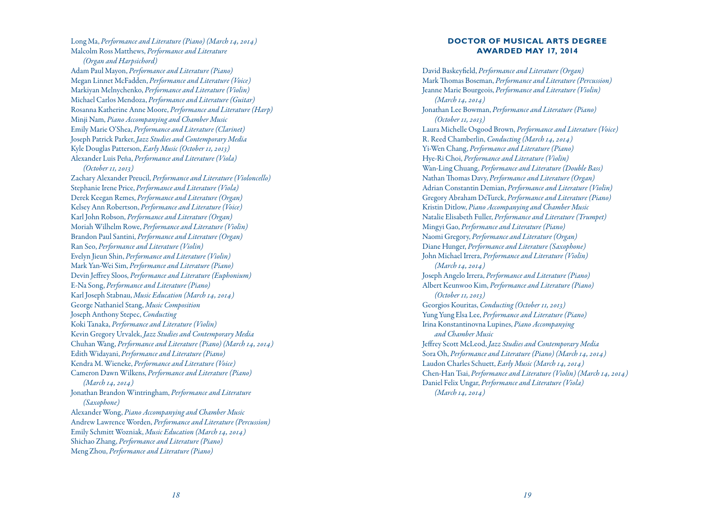Long Ma, *Performance and Literature (Piano) (March 14, 2014)* Malcolm Ross Matthews, *Performance and Literature (Organ and Harpsichord)* Adam Paul Mayon, *Performance and Literature (Piano)* Megan Linnet McFadden, *Performance and Literature (Voice)* Markiyan Melnychenko, *Performance and Literature (Violin)* Michael Carlos Mendoza, *Performance and Literature (Guitar)* Rosanna Katherine Anne Moore, *Performance and Literature (Harp)* Minji Nam, *Piano Accompanying and Chamber Music* Emily Marie O'Shea, *Performance and Literature (Clarinet)* Joseph Patrick Parker, *Jazz Studies and Contemporary Media* Kyle Douglas Patterson, *Early Music (October 11, 2013)* Alexander Luis Peña, *Performance and Literature (Viola) (October 11, 2013)* Zachary Alexander Preucil, *Performance and Literature (Violoncello)* Stephanie Irene Price, *Performance and Literature (Viola)* Derek Keegan Remes, *Performance and Literature (Organ)* Kelsey Ann Robertson, *Performance and Literature (Voice)* Karl John Robson, *Performance and Literature (Organ)* Moriah Wilhelm Rowe, *Performance and Literature (Violin)* Brandon Paul Santini, *Performance and Literature (Organ)* Ran Seo, *Performance and Literature (Violin)* Evelyn Jieun Shin, *Performance and Literature (Violin)* Mark Yan-Wei Sim, *Performance and Literature (Piano)* Devin Jeffrey Sloos, *Performance and Literature (Euphonium)* E-Na Song, *Performance and Literature (Piano)* Karl Joseph Stabnau, *Music Education (March 14, 2014)* George Nathaniel Stang, *Music Composition* Joseph Anthony Stepec, *Conducting* Koki Tanaka, *Performance and Literature (Violin)* Kevin Gregory Urvalek, *Jazz Studies and Contemporary Media* Chuhan Wang, *Performance and Literature (Piano) (March 14, 2014)* Edith Widayani, *Performance and Literature (Piano)* Kendra M. Wieneke, *Performance and Literature (Voice)* Cameron Dawn Wilkens, *Performance and Literature (Piano) (March 14, 2014)* Jonathan Brandon Wintringham, *Performance and Literature (Saxophone)* Alexander Wong, *Piano Accompanying and Chamber Music* Andrew Lawrence Worden, *Performance and Literature (Percussion)* Emily Schmitt Wozniak, *Music Education (March 14, 2014)* Shichao Zhang, *Performance and Literature (Piano)* Meng Zhou, *Performance and Literature (Piano)*

# **DOCTO R OF MUSICAL A RTS D EGREE A W ARD E D MAY 17, 2014**

David Baskeyfield, *Performance and Literature (Organ)* Mark Thomas Boseman, *Performance and Literature (Percussion)* Jeanne Marie Bourgeois, *Performance and Literature (Violin) (March 14, 2014)* Jonathan Lee Bowman, *Performance and Literature (Piano) (October 11, 2013)* Laura Michelle Osgood Brown, *Performance and Literature (Voice)* R. Reed Chamberlin, *Conducting (March 14, 2014)* Yi-Wen Chang, *Performance and Literature (Piano)* Hye-Ri Choi, *Performance and Literature (Violin)* Wan-Ling Chuang, *Performance and Literature (Double Bass)* Nathan Thomas Davy, *Performance and Literature (Organ)* Adrian Constantin Demian, *Performance and Literature (Violin)* Gregory Abraham DeTurck, *Performance and Literature (Piano)* Kristin Ditlow, *Piano Accompanying and Chamber Music* Natalie Elisabeth Fuller, *Performance and Literature (Trumpet)* Mingyi Gao, *Performance and Literature (Piano)* Naomi Gregory, *Performance and Literature (Organ)* Diane Hunger, *Performance and Literature (Saxophone)* John Michael Irrera, *Performance and Literature (Violin) (March 14, 2014)* Joseph Angelo Irrera, *Performance and Literature (Piano)* Albert Keunwoo Kim, *Performance and Literature (Piano) (October 11, 2013)* Georgios Kouritas, *Conducting (October 11, 2013)* Yung Yung Elsa Lee, *Performance and Literature (Piano)* Irina Konstantinovna Lupines, *Piano Accompanying and Chamber Music* Jeffrey Scott McLeod, *Jazz Studies and Contemporary Media* Sora Oh, *Performance and Literature (Piano) (March 14, 2014)* Laudon Charles Schuett, *Early Music (March 14, 2014)* Chen-Han Tsai, *Performance and Literature (Violin) (March 14, 2014)* Daniel Felix Ungar, *Performance and Literature (Viola) (March 14, 2014)*